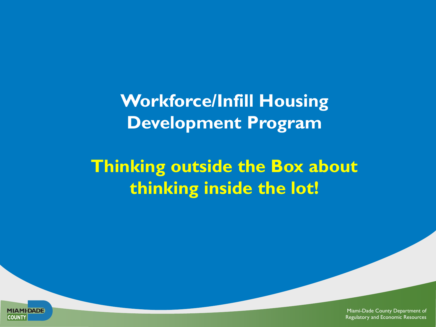**Workforce/Infill Housing Development Program** 

**Thinking outside the Box about thinking inside the lot!**

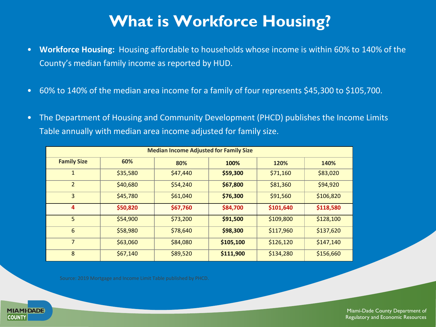## **What is Workforce Housing?**

- **Workforce Housing:** Housing affordable to households whose income is within 60% to 140% of the County's median family income as reported by HUD.
- 60% to 140% of the median area income for a family of four represents \$45,300 to \$105,700.
- The Department of Housing and Community Development (PHCD) publishes the Income Limits Table annually with median area income adjusted for family size.

| <b>Median Income Adjusted for Family Size</b> |          |          |           |           |           |
|-----------------------------------------------|----------|----------|-----------|-----------|-----------|
| <b>Family Size</b>                            | 60%      | 80%      | 100%      | 120%      | 140%      |
| $\mathbf{1}$                                  | \$35,580 | \$47,440 | \$59,300  | \$71,160  | \$83,020  |
| $\overline{2}$                                | \$40,680 | \$54,240 | \$67,800  | \$81,360  | \$94,920  |
| $\overline{3}$                                | \$45,780 | \$61,040 | \$76,300  | \$91,560  | \$106,820 |
| 4                                             | \$50,820 | \$67,760 | \$84,700  | \$101,640 | \$118,580 |
| 5                                             | \$54,900 | \$73,200 | \$91,500  | \$109,800 | \$128,100 |
| 6                                             | \$58,980 | \$78,640 | \$98,300  | \$117,960 | \$137,620 |
| $\overline{7}$                                | \$63,060 | \$84,080 | \$105,100 | \$126,120 | \$147,140 |
| 8                                             | \$67,140 | \$89,520 | \$111,900 | \$134,280 | \$156,660 |

Source: 2019 Mortgage and Income Limit Table published by PHCD.

**MIAMI-DADE** 

**COUNTY**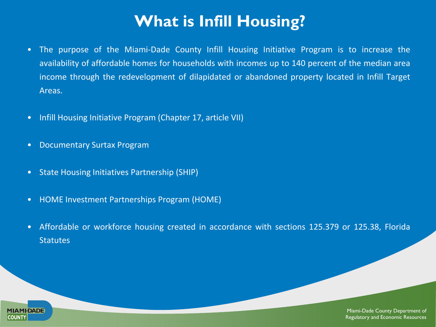## **What is Infill Housing?**

- The purpose of the Miami-Dade County Infill Housing Initiative Program is to increase the availability of affordable homes for households with incomes up to 140 percent of the median area income through the redevelopment of dilapidated or abandoned property located in Infill Target Areas.
- Infill Housing Initiative Program (Chapter 17, article VII)
- Documentary Surtax Program
- State Housing Initiatives Partnership (SHIP)
- HOME Investment Partnerships Program (HOME)
- Affordable or workforce housing created in accordance with sections 125.379 or 125.38, Florida **Statutes**

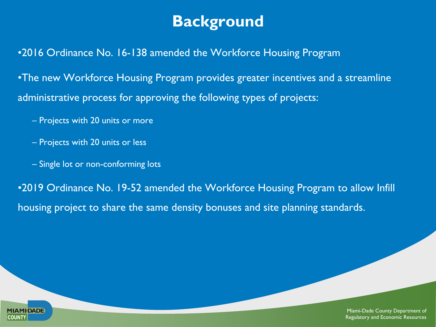### **Background**

•2016 Ordinance No. 16-138 amended the Workforce Housing Program

•The new Workforce Housing Program provides greater incentives and a streamline administrative process for approving the following types of projects:

- Projects with 20 units or more
- Projects with 20 units or less
- Single lot or non-conforming lots

•2019 Ordinance No. 19-52 amended the Workforce Housing Program to allow Infill housing project to share the same density bonuses and site planning standards.

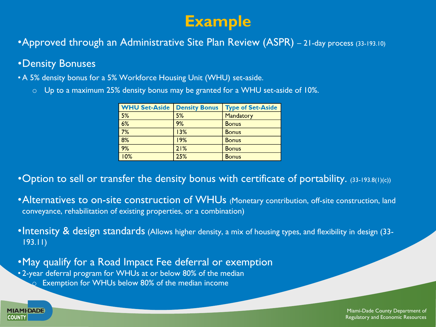### **Example**

•Approved through an Administrative Site Plan Review (ASPR) - 21-day process (33-193.10)

#### •Density Bonuses

**MIAMI-DADE** 

**COUNTY** 

• A 5% density bonus for a 5% Workforce Housing Unit (WHU) set-aside.

o Up to a maximum 25% density bonus may be granted for a WHU set-aside of 10%.

| <b>WHU Set-Aside</b> | <b>Density Bonus</b> | <b>Type of Set-Aside</b> |
|----------------------|----------------------|--------------------------|
| 5%                   | 5%                   | Mandatory                |
| 6%                   | 9%                   | <b>Bonus</b>             |
| 7%                   | 13%                  | <b>Bonus</b>             |
| 8%                   | 19%                  | <b>Bonus</b>             |
| 9%                   | 21%                  | <b>Bonus</b>             |
| 10%                  | 25%                  | <b>Bonus</b>             |

•Option to sell or transfer the density bonus with certificate of portability. (33-193.8(1)(c))

- •Alternatives to on-site construction of WHUs (Monetary contribution, off-site construction, land conveyance, rehabilitation of existing properties, or a combination)
- •Intensity & design standards (Allows higher density, a mix of housing types, and flexibility in design (33-193.11)

•May qualify for a Road Impact Fee deferral or exemption • 2-year deferral program for WHUs at or below 80% of the median  $\Omega$  Exemption for WHUs below 80% of the median income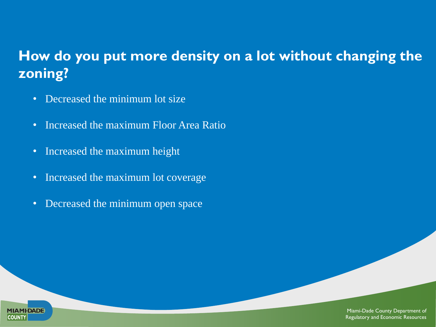### **How do you put more density on a lot without changing the zoning?**

- Decreased the minimum lot size
- Increased the maximum Floor Area Ratio
- Increased the maximum height

**MIAMI-DADE** 

**COUNTY** 

- Increased the maximum lot coverage
- Decreased the minimum open space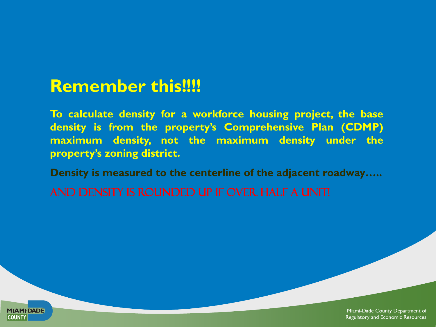# **Remember this!!!!**

**To calculate density for a workforce housing project, the base density is from the property's Comprehensive Plan (CDMP) maximum density, not the maximum density under the property's zoning district.**

**Density is measured to the centerline of the adjacent roadway…..**

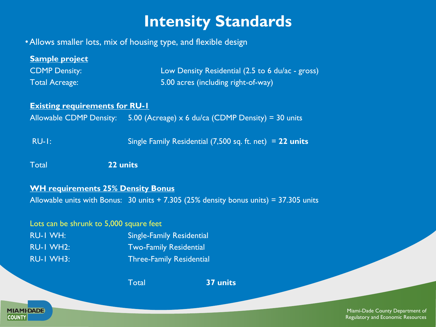## **Intensity Standards**

•Allows smaller lots, mix of housing type, and flexible design

**MIAMI-DADE** 

**COUNTY** 

| <b>Sample project</b>                                                      |                                                                                         |  |  |  |
|----------------------------------------------------------------------------|-----------------------------------------------------------------------------------------|--|--|--|
| <b>CDMP Density:</b>                                                       | Low Density Residential (2.5 to 6 du/ac - gross)                                        |  |  |  |
| <b>Total Acreage:</b>                                                      | 5.00 acres (including right-of-way)                                                     |  |  |  |
|                                                                            |                                                                                         |  |  |  |
| <b>Existing requirements for RU-1</b>                                      |                                                                                         |  |  |  |
| Allowable CDMP Density: 5.00 (Acreage) x 6 du/ca (CDMP Density) = 30 units |                                                                                         |  |  |  |
|                                                                            |                                                                                         |  |  |  |
| <b>RU-1:</b><br>Single Family Residential $(7,500$ sq. ft. net) = 22 units |                                                                                         |  |  |  |
|                                                                            |                                                                                         |  |  |  |
| 22 units<br><b>Total</b>                                                   |                                                                                         |  |  |  |
|                                                                            |                                                                                         |  |  |  |
| <b>WH requirements 25% Density Bonus</b>                                   |                                                                                         |  |  |  |
|                                                                            | Allowable units with Bonus: $30$ units + 7.305 (25% density bonus units) = 37.305 units |  |  |  |
|                                                                            |                                                                                         |  |  |  |
| Lots can be shrunk to 5,000 square feet                                    |                                                                                         |  |  |  |
| <b>RU-I WH:</b>                                                            | <b>Single-Family Residential</b>                                                        |  |  |  |
| <b>RU-I WH2:</b>                                                           | <b>Two-Family Residential</b>                                                           |  |  |  |
| <b>RU-I WH3:</b>                                                           | <b>Three-Family Residential</b>                                                         |  |  |  |
|                                                                            | <b>Total</b><br>37 units                                                                |  |  |  |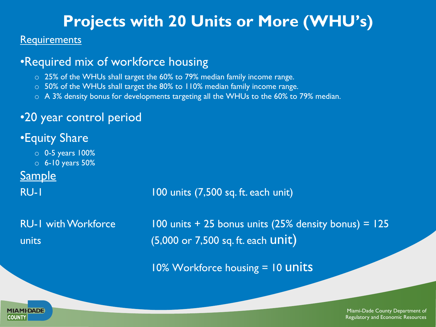### **Projects with 20 Units or More (WHU's)**

#### **Requirements**

### •Required mix of workforce housing

- o 25% of the WHUs shall target the 60% to 79% median family income range.
- $\circ$  50% of the WHUs shall target the 80% to 110% median family income range.
- o A 3% density bonus for developments targeting all the WHUs to the 60% to 79% median.

### •20 year control period

### •Equity Share

- o 0-5 years 100%
- o 6-10 years 50%

### **Sample**

#### RU-1 100 units (7,500 sq. ft. each unit)

RU-1 with Workforce 100 units + 25 bonus units (25% density bonus) = 125 units  $(5,000 \text{ or } 7,500 \text{ sq. ft. each } \text{unit})$ 

10% Workforce housing = 10 **units** 

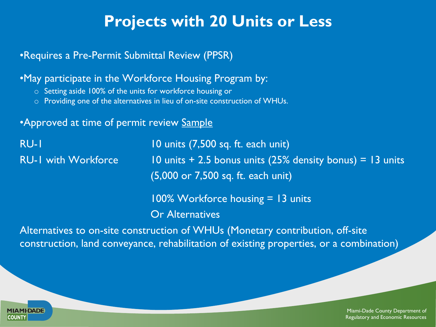### **Projects with 20 Units or Less**

#### •Requires a Pre-Permit Submittal Review (PPSR)

#### •May participate in the Workforce Housing Program by:

- o Setting aside 100% of the units for workforce housing or
- o Providing one of the alternatives in lieu of on-site construction of WHUs.

#### • Approved at time of permit review Sample

| <b>RU-1</b>                | 10 units (7,500 sq. ft. each unit)                                                                  |  |
|----------------------------|-----------------------------------------------------------------------------------------------------|--|
| <b>RU-I with Workforce</b> | $10$ units $+$ 2.5 bonus units (25% density bonus) = 13 units<br>(5,000 or 7,500 sq. ft. each unit) |  |
|                            | $100\%$ Workforce housing $= 13$ units                                                              |  |
|                            | <b>Or Alternatives</b>                                                                              |  |
|                            |                                                                                                     |  |

Alternatives to on-site construction of WHUs (Monetary contribution, off-site construction, land conveyance, rehabilitation of existing properties, or a combination)

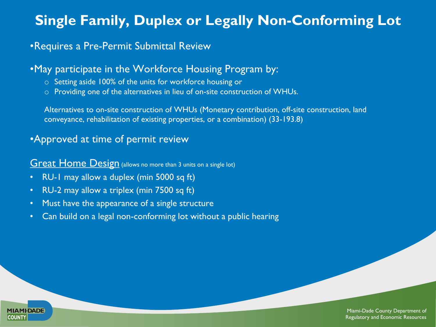### **Single Family, Duplex or Legally Non-Conforming Lot**

#### •Requires a Pre-Permit Submittal Review

#### •May participate in the Workforce Housing Program by:

- o Setting aside 100% of the units for workforce housing or
- o Providing one of the alternatives in lieu of on-site construction of WHUs.

Alternatives to on-site construction of WHUs (Monetary contribution, off-site construction, land conveyance, rehabilitation of existing properties, or a combination) (33-193.8)

#### •Approved at time of permit review

#### **Great Home Design** (allows no more than 3 units on a single lot)

- RU-1 may allow a duplex (min 5000 sq ft)
- RU-2 may allow a triplex (min 7500 sq ft)

**MIAMI-DADE** 

**COUNTY** 

- Must have the appearance of a single structure
- Can build on a legal non-conforming lot without a public hearing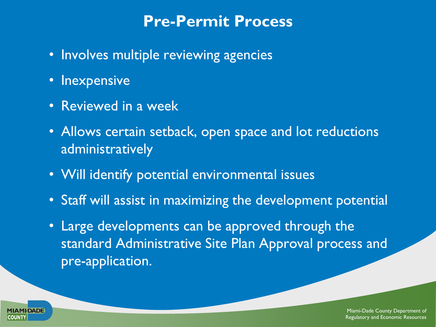### **Pre-Permit Process**

- Involves multiple reviewing agencies
- Inexpensive
- Reviewed in a week
- Allows certain setback, open space and lot reductions administratively
- Will identify potential environmental issues
- Staff will assist in maximizing the development potential
- Large developments can be approved through the standard Administrative Site Plan Approval process and pre-application.

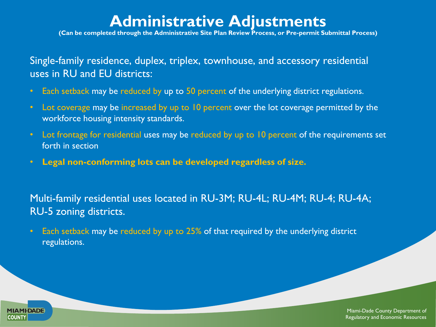### **Administrative Adjustments**

**(Can be completed through the Administrative Site Plan Review Process, or Pre-permit Submittal Process)**

Single-family residence, duplex, triplex, townhouse, and accessory residential uses in RU and EU districts:

- Each setback may be reduced by up to 50 percent of the underlying district regulations.
- Lot coverage may be increased by up to 10 percent over the lot coverage permitted by the workforce housing intensity standards.
- Lot frontage for residential uses may be reduced by up to 10 percent of the requirements set forth in section
- **Legal non-conforming lots can be developed regardless of size.**

**MIAMI-DADE** 

**COUNTY** 

Multi-family residential uses located in RU-3M; RU-4L; RU-4M; RU-4; RU-4A; RU-5 zoning districts.

• Each setback may be reduced by up to 25% of that required by the underlying district regulations.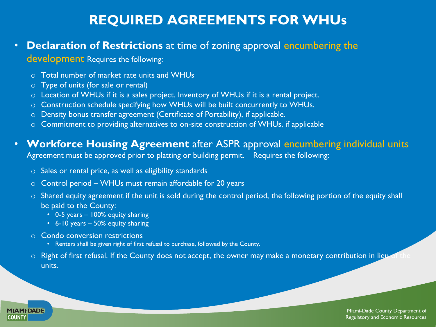### **REQUIRED AGREEMENTS FOR WHUs**

#### • **Declaration of Restrictions** at time of zoning approval encumbering the

#### development Requires the following:

- o Total number of market rate units and WHUs
- o Type of units (for sale or rental)
- o Location of WHUs if it is a sales project. Inventory of WHUs if it is a rental project.
- o Construction schedule specifying how WHUs will be built concurrently to WHUs.
- o Density bonus transfer agreement (Certificate of Portability), if applicable.
- o Commitment to providing alternatives to on-site construction of WHUs, if applicable

#### • **Workforce Housing Agreement** after ASPR approval encumbering individual units

Agreement must be approved prior to platting or building permit. Requires the following:

- o Sales or rental price, as well as eligibility standards
- $\circ$  Control period WHUs must remain affordable for 20 years
- o Shared equity agreement if the unit is sold during the control period, the following portion of the equity shall be paid to the County:
	- 0-5 years 100% equity sharing
	- 6-10 years 50% equity sharing
- o Condo conversion restrictions

**MIAMI-DADE** 

**COUNTY** 

- Renters shall be given right of first refusal to purchase, followed by the County.
- $\circ$  Right of first refusal. If the County does not accept, the owner may make a monetary contribution in lieu of units.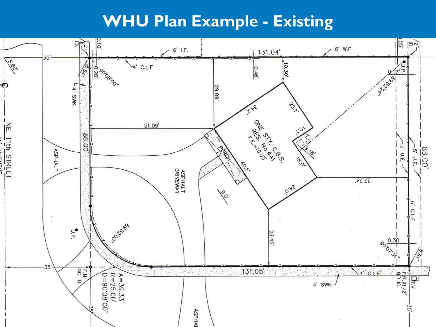### **WHU Plan Example - Existing**

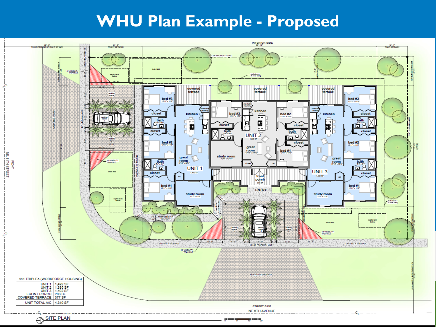# **WHU Plan Example - Proposed**

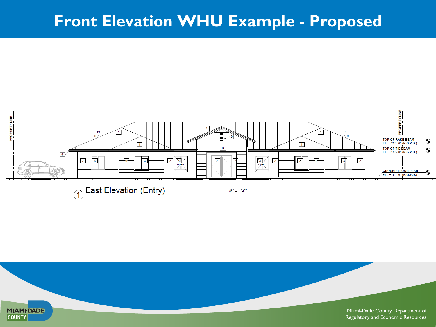## **Front Elevation WHU Example - Proposed**



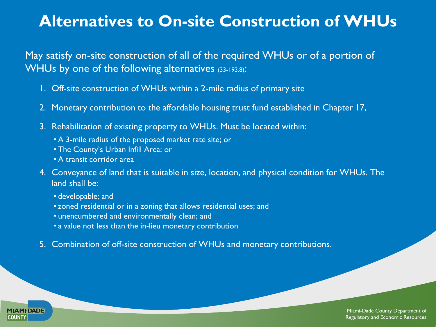### **Alternatives to On-site Construction of WHUs**

May satisfy on-site construction of all of the required WHUs or of a portion of WHUs by one of the following alternatives (33-193.8):

- 1. Off-site construction of WHUs within a 2-mile radius of primary site
- 2. Monetary contribution to the affordable housing trust fund established in Chapter 17,
- 3. Rehabilitation of existing property to WHUs. Must be located within:
	- A 3-mile radius of the proposed market rate site; or
	- The County's Urban Infill Area; or
	- A transit corridor area
- 4. Conveyance of land that is suitable in size, location, and physical condition for WHUs. The land shall be:
	- developable; and

**MIAMI-DADE** 

**COUNTY** 

- zoned residential or in a zoning that allows residential uses; and
- unencumbered and environmentally clean; and
- a value not less than the in-lieu monetary contribution
- 5. Combination of off-site construction of WHUs and monetary contributions.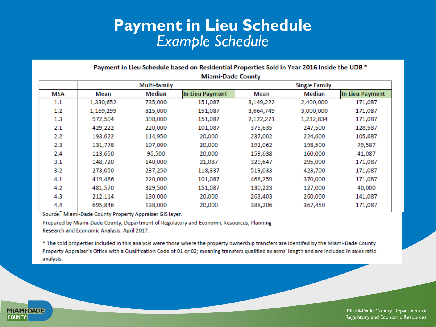### **Payment in Lieu Schedule**  *Example Schedule*

| <b>Miami-Dade County</b> |              |         |                      |           |           |                 |
|--------------------------|--------------|---------|----------------------|-----------|-----------|-----------------|
|                          | Multi-family |         | <b>Single Family</b> |           |           |                 |
| MSA                      | Mean         | Median  | In Lieu Payment      | Mean      | Median    | In Lieu Payment |
| $1.1\,$                  | 1,330,652    | 735,000 | 151,087              | 3,149,222 | 2,400,000 | 171,087         |
| 1.2                      | 1,169,299    | 815,000 | 151,087              | 3,664,749 | 3,000,000 | 171,087         |
| 1.3                      | 972,504      | 398,000 | 151,087              | 2,122,271 | 1,232,834 | 171,087         |
| 2.1                      | 429,222      | 220,000 | 101,087              | 375,635   | 247,500   | 128,587         |
| 2.2                      | 193,622      | 114,950 | 20,000               | 237,002   | 224,600   | 105,687         |
| 2.3                      | 131,778      | 107,000 | 20,000               | 192,062   | 198,500   | 79,587          |
| 2.4                      | 113,650      | 96,500  | 20,000               | 159,638   | 160,000   | 41,087          |
| 3.1                      | 148,720      | 140,000 | 21,087               | 320,647   | 295,000   | 171,087         |
| 3.2                      | 273,050      | 237,250 | 118,337              | 519,033   | 423,700   | 171,087         |
| 4.1                      | 419,486      | 220,000 | 101,087              | 468,259   | 370,000   | 171,087         |
| 4.2                      | 481,570      | 329,500 | 151,087              | 130,223   | 127,000   | 40,000          |
| 4.3                      | 212,114      | 130,000 | 20,000               | 263,403   | 260,000   | 141,087         |
| 4.4                      | 695,846      | 138,000 | 20,000               | 388,206   | 367,450   | 171,087         |

#### Payment in Lieu Schedule based on Residential Properties Sold in Year 2016 Inside the UDB \*

Source: Miami-Dade County Property Appraiser GIS layer.

**MIAMI-DADE** 

**COUNTY** 

Prepared by Miami-Dade County, Department of Regulatory and Economic Resources, Planning Research and Economic Analysis, April 2017.

\* The sold properties included in this analysis were those where the property ownership transfers are identifed by the Miami-Dade County Property Appraiser's Office with a Qualification Code of 01 or 02; meaning transfers qualified as arms' length and are included in sales ratio analysis.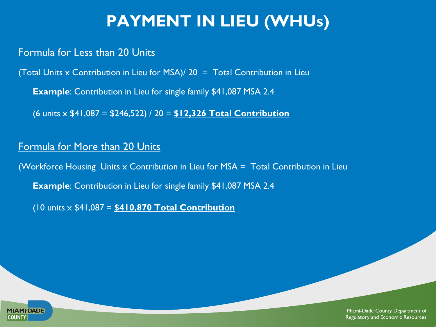# **PAYMENT IN LIEU (WHUs)**

#### Formula for Less than 20 Units

(Total Units x Contribution in Lieu for MSA)/ 20 = Total Contribution in Lieu

**Example**: Contribution in Lieu for single family \$41,087 MSA 2.4

(6 units x \$41,087 = \$246,522) / 20 = **\$12,326 Total Contribution**

#### Formula for More than 20 Units

(Workforce Housing Units x Contribution in Lieu for MSA = Total Contribution in Lieu

**Example**: Contribution in Lieu for single family \$41,087 MSA 2.4

(10 units x \$41,087 = **\$410,870 Total Contribution**

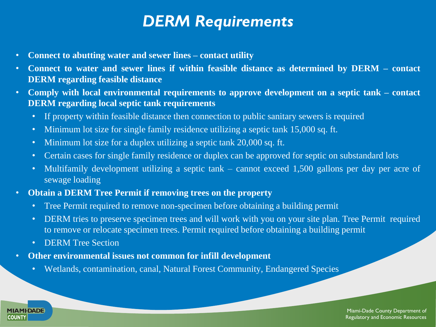### *DERM Requirements*

- **Connect to abutting water and sewer lines – contact utility**
- **Connect to water and sewer lines if within feasible distance as determined by DERM – contact DERM regarding feasible distance**
- **Comply with local environmental requirements to approve development on a septic tank – contact DERM regarding local septic tank requirements**
	- If property within feasible distance then connection to public sanitary sewers is required
	- Minimum lot size for single family residence utilizing a septic tank 15,000 sq. ft.
	- Minimum lot size for a duplex utilizing a septic tank 20,000 sq. ft.
	- Certain cases for single family residence or duplex can be approved for septic on substandard lots
	- Multifamily development utilizing a septic tank cannot exceed 1,500 gallons per day per acre of sewage loading
- **Obtain a DERM Tree Permit if removing trees on the property**
	- Tree Permit required to remove non-specimen before obtaining a building permit
	- DERM tries to preserve specimen trees and will work with you on your site plan. Tree Permit required to remove or relocate specimen trees. Permit required before obtaining a building permit
	- **DERM** Tree Section

**MIAMI-DADE** 

**COUNTY** 

- **Other environmental issues not common for infill development**
	- Wetlands, contamination, canal, Natural Forest Community, Endangered Species